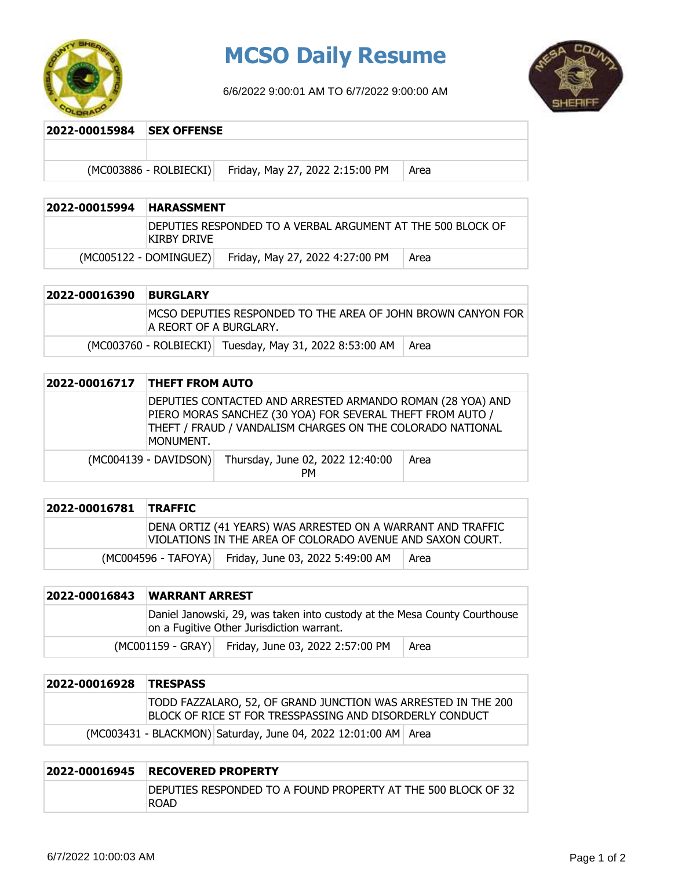

## **MCSO Daily Resume**

6/6/2022 9:00:01 AM TO 6/7/2022 9:00:00 AM



**2022-00015984 SEX OFFENSE**

 $(MCOO3886 - ROLBIECKI)$  Friday, May 27, 2022 2:15:00 PM  $\vert$  Area

| 2022-00015994 | <b>HARASSMENT</b>                                                           |                                 |      |
|---------------|-----------------------------------------------------------------------------|---------------------------------|------|
|               | IDEPUTIES RESPONDED TO A VERBAL ARGUMENT AT THE 500 BLOCK OF<br>KIRBY DRIVE |                                 |      |
|               | $(MCOO5122 - DOMINGUEZ)$                                                    | Friday, May 27, 2022 4:27:00 PM | Area |

| 2022-00016390 | <b>BURGLARY</b>                                                                         |  |
|---------------|-----------------------------------------------------------------------------------------|--|
|               | IMCSO DEPUTIES RESPONDED TO THE AREA OF JOHN BROWN CANYON FOR<br>A REORT OF A BURGLARY. |  |
|               | (MC003760 - ROLBIECKI) Tuesday, May 31, 2022 8:53:00 AM<br>l Area                       |  |

| 2022-00016717 | <b>THEFT FROM AUTO</b>                                                                                                                                                                              |                                               |      |
|---------------|-----------------------------------------------------------------------------------------------------------------------------------------------------------------------------------------------------|-----------------------------------------------|------|
|               | DEPUTIES CONTACTED AND ARRESTED ARMANDO ROMAN (28 YOA) AND<br>PIERO MORAS SANCHEZ (30 YOA) FOR SEVERAL THEFT FROM AUTO /<br>THEFT / FRAUD / VANDALISM CHARGES ON THE COLORADO NATIONAL<br>MONUMENT. |                                               |      |
|               | $(MCOO4139 - DAVIDSON)$                                                                                                                                                                             | Thursday, June 02, 2022 12:40:00<br><b>PM</b> | Area |

| 2022-00016781 TRAFFIC |                                                                                                                           |  |
|-----------------------|---------------------------------------------------------------------------------------------------------------------------|--|
|                       | DENA ORTIZ (41 YEARS) WAS ARRESTED ON A WARRANT AND TRAFFIC<br>VIOLATIONS IN THE AREA OF COLORADO AVENUE AND SAXON COURT. |  |
|                       | (MC004596 - TAFOYA) Friday, June 03, 2022 5:49:00 AM<br>Area                                                              |  |

| 2022-00016843 | <b>WARRANT ARREST</b>                                                                                                  |                                                    |      |
|---------------|------------------------------------------------------------------------------------------------------------------------|----------------------------------------------------|------|
|               | Daniel Janowski, 29, was taken into custody at the Mesa County Courthouse<br>on a Fugitive Other Jurisdiction warrant. |                                                    |      |
|               |                                                                                                                        | (MC001159 - GRAY) Friday, June 03, 2022 2:57:00 PM | Area |

| 2022-00016928 | <b>TRESPASS</b>                                                                                                           |
|---------------|---------------------------------------------------------------------------------------------------------------------------|
|               | TODD FAZZALARO, 52, OF GRAND JUNCTION WAS ARRESTED IN THE 200<br>BLOCK OF RICE ST FOR TRESSPASSING AND DISORDERLY CONDUCT |
|               | (MC003431 - BLACKMON) Saturday, June 04, 2022 12:01:00 AM   Area                                                          |

| 2022-00016945 | <b>RECOVERED PROPERTY</b>                                                    |  |  |
|---------------|------------------------------------------------------------------------------|--|--|
|               | DEPUTIES RESPONDED TO A FOUND PROPERTY AT THE 500 BLOCK OF 32<br><b>ROAD</b> |  |  |